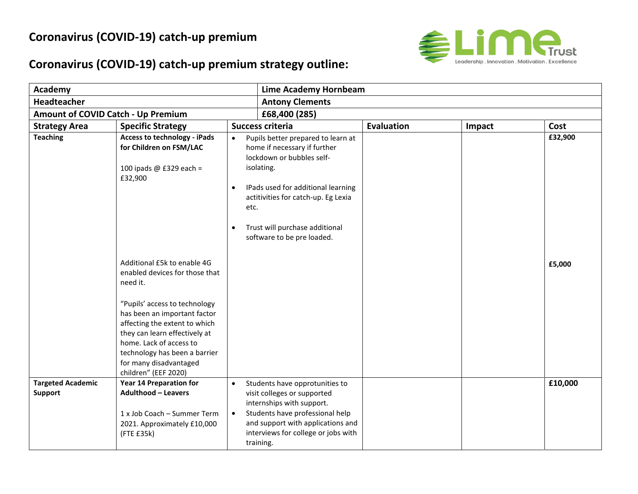

## **Coronavirus (COVID-19) catch-up premium strategy outline:**

| <b>Academy</b>                             |                                                                                                                                                                                                                                               |                                | <b>Lime Academy Hornbeam</b>                                                                                                                                                                                                                               |                   |        |                   |
|--------------------------------------------|-----------------------------------------------------------------------------------------------------------------------------------------------------------------------------------------------------------------------------------------------|--------------------------------|------------------------------------------------------------------------------------------------------------------------------------------------------------------------------------------------------------------------------------------------------------|-------------------|--------|-------------------|
| <b>Headteacher</b>                         |                                                                                                                                                                                                                                               |                                | <b>Antony Clements</b>                                                                                                                                                                                                                                     |                   |        |                   |
| <b>Amount of COVID Catch - Up Premium</b>  |                                                                                                                                                                                                                                               |                                | £68,400 (285)                                                                                                                                                                                                                                              |                   |        |                   |
| <b>Strategy Area</b>                       | <b>Specific Strategy</b>                                                                                                                                                                                                                      |                                | Success criteria                                                                                                                                                                                                                                           | <b>Evaluation</b> | Impact | Cost              |
| <b>Teaching</b>                            | <b>Access to technology - iPads</b><br>for Children on FSM/LAC<br>100 ipads @ £329 each =<br>£32,900<br>Additional £5k to enable 4G<br>enabled devices for those that<br>need it.                                                             | $\bullet$<br>$\bullet$<br>etc. | Pupils better prepared to learn at<br>home if necessary if further<br>lockdown or bubbles self-<br>isolating.<br>IPads used for additional learning<br>actitivities for catch-up. Eg Lexia<br>Trust will purchase additional<br>software to be pre loaded. |                   |        | £32,900<br>£5,000 |
|                                            | "Pupils' access to technology<br>has been an important factor<br>affecting the extent to which<br>they can learn effectively at<br>home. Lack of access to<br>technology has been a barrier<br>for many disadvantaged<br>children" (EEF 2020) |                                |                                                                                                                                                                                                                                                            |                   |        |                   |
| <b>Targeted Academic</b><br><b>Support</b> | Year 14 Preparation for<br><b>Adulthood - Leavers</b><br>1 x Job Coach - Summer Term<br>2021. Approximately £10,000<br>(FTE £35k)                                                                                                             | $\bullet$<br>$\bullet$         | Students have opprotunities to<br>visit colleges or supported<br>internships with support.<br>Students have professional help<br>and support with applications and<br>interviews for college or jobs with<br>training.                                     |                   |        | £10,000           |